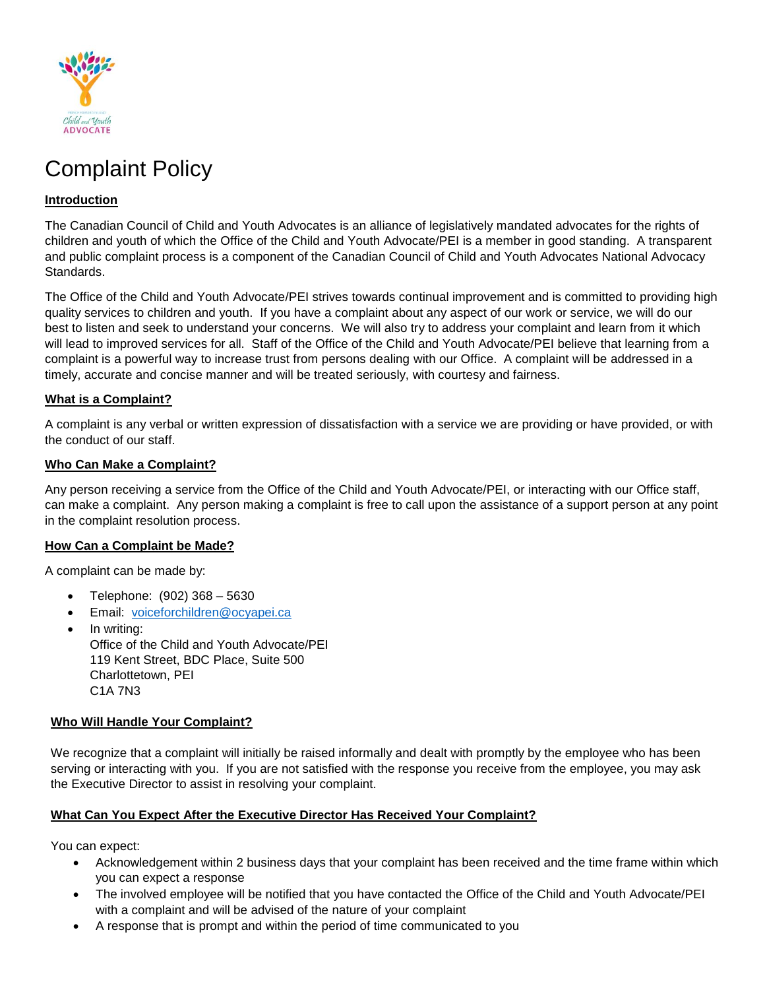

# Complaint Policy

## **Introduction**

The Canadian Council of Child and Youth Advocates is an alliance of legislatively mandated advocates for the rights of children and youth of which the Office of the Child and Youth Advocate/PEI is a member in good standing. A transparent and public complaint process is a component of the Canadian Council of Child and Youth Advocates National Advocacy Standards.

The Office of the Child and Youth Advocate/PEI strives towards continual improvement and is committed to providing high quality services to children and youth. If you have a complaint about any aspect of our work or service, we will do our best to listen and seek to understand your concerns. We will also try to address your complaint and learn from it which will lead to improved services for all. Staff of the Office of the Child and Youth Advocate/PEI believe that learning from a complaint is a powerful way to increase trust from persons dealing with our Office. A complaint will be addressed in a timely, accurate and concise manner and will be treated seriously, with courtesy and fairness.

### **What is a Complaint?**

A complaint is any verbal or written expression of dissatisfaction with a service we are providing or have provided, or with the conduct of our staff.

#### **Who Can Make a Complaint?**

Any person receiving a service from the Office of the Child and Youth Advocate/PEI, or interacting with our Office staff, can make a complaint. Any person making a complaint is free to call upon the assistance of a support person at any point in the complaint resolution process.

#### **How Can a Complaint be Made?**

A complaint can be made by:

- Telephone: (902) 368 5630
- Email: [voiceforchildren@ocyapei.ca](mailto:voiceforchildren@ocyapei.ca)
- In writing: Office of the Child and Youth Advocate/PEI 119 Kent Street, BDC Place, Suite 500 Charlottetown, PEI C1A 7N3

#### **Who Will Handle Your Complaint?**

We recognize that a complaint will initially be raised informally and dealt with promptly by the employee who has been serving or interacting with you. If you are not satisfied with the response you receive from the employee, you may ask the Executive Director to assist in resolving your complaint.

#### **What Can You Expect After the Executive Director Has Received Your Complaint?**

You can expect:

- Acknowledgement within 2 business days that your complaint has been received and the time frame within which you can expect a response
- The involved employee will be notified that you have contacted the Office of the Child and Youth Advocate/PEI with a complaint and will be advised of the nature of your complaint
- A response that is prompt and within the period of time communicated to you